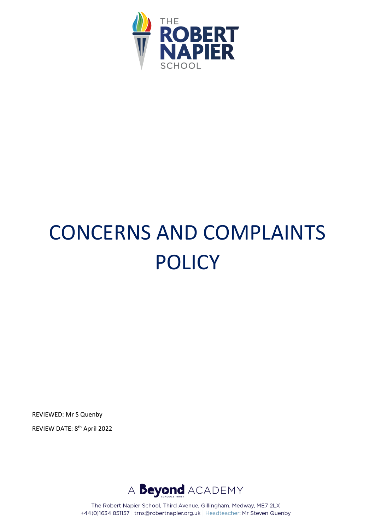

# CONCERNS AND COMPLAINTS POLICY

REVIEWED: Mr S Quenby REVIEW DATE: 8<sup>th</sup> April 2022

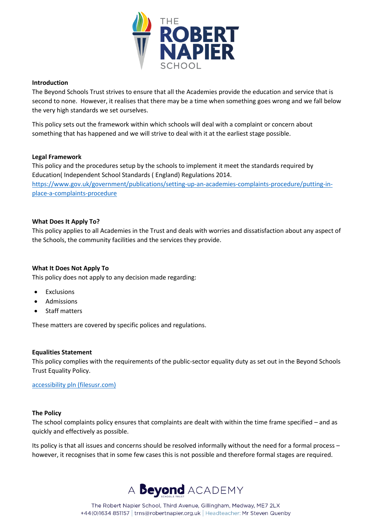

#### **Introduction**

The Beyond Schools Trust strives to ensure that all the Academies provide the education and service that is second to none. However, it realises that there may be a time when something goes wrong and we fall below the very high standards we set ourselves.

This policy sets out the framework within which schools will deal with a complaint or concern about something that has happened and we will strive to deal with it at the earliest stage possible.

#### **Legal Framework**

This policy and the procedures setup by the schools to implement it meet the standards required by Education( Independent School Standards ( England) Regulations 2014. [https://www.gov.uk/government/publications/setting-up-an-academies-complaints-procedure/putting-in](https://www.gov.uk/government/publications/setting-up-an-academies-complaints-procedure/putting-in-place-a-complaints-procedure)[place-a-complaints-procedure](https://www.gov.uk/government/publications/setting-up-an-academies-complaints-procedure/putting-in-place-a-complaints-procedure)

## **What Does It Apply To?**

This policy applies to all Academies in the Trust and deals with worries and dissatisfaction about any aspect of the Schools, the community facilities and the services they provide.

## **What It Does Not Apply To**

This policy does not apply to any decision made regarding:

- **Exclusions**
- **Admissions**
- Staff matters

These matters are covered by specific polices and regulations.

#### **Equalities Statement**

This policy complies with the requirements of the public-sector equality duty as set out in the Beyond Schools Trust Equality Policy.

[accessibility pln \(filesusr.com\)](https://3a6d14ca-8f6a-4655-96ba-a4480567574c.filesusr.com/ugd/b53ca0_068bde24dea5444e90adc4f01003cd98.pdf)

#### **The Policy**

The school complaints policy ensures that complaints are dealt with within the time frame specified – and as quickly and effectively as possible.

Its policy is that all issues and concerns should be resolved informally without the need for a formal process – however, it recognises that in some few cases this is not possible and therefore formal stages are required.

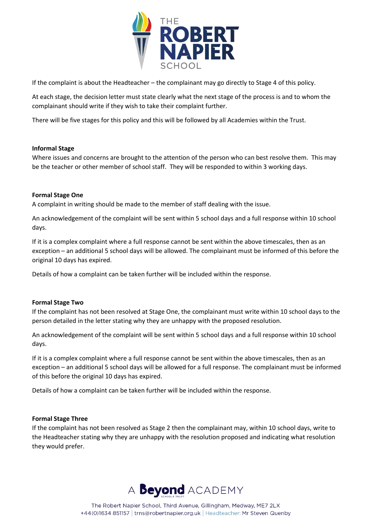

If the complaint is about the Headteacher – the complainant may go directly to Stage 4 of this policy.

At each stage, the decision letter must state clearly what the next stage of the process is and to whom the complainant should write if they wish to take their complaint further.

There will be five stages for this policy and this will be followed by all Academies within the Trust.

## **Informal Stage**

Where issues and concerns are brought to the attention of the person who can best resolve them. This may be the teacher or other member of school staff. They will be responded to within 3 working days.

## **Formal Stage One**

A complaint in writing should be made to the member of staff dealing with the issue.

An acknowledgement of the complaint will be sent within 5 school days and a full response within 10 school days.

If it is a complex complaint where a full response cannot be sent within the above timescales, then as an exception – an additional 5 school days will be allowed. The complainant must be informed of this before the original 10 days has expired.

Details of how a complaint can be taken further will be included within the response.

## **Formal Stage Two**

If the complaint has not been resolved at Stage One, the complainant must write within 10 school days to the person detailed in the letter stating why they are unhappy with the proposed resolution.

An acknowledgement of the complaint will be sent within 5 school days and a full response within 10 school days.

If it is a complex complaint where a full response cannot be sent within the above timescales, then as an exception – an additional 5 school days will be allowed for a full response. The complainant must be informed of this before the original 10 days has expired.

Details of how a complaint can be taken further will be included within the response.

## **Formal Stage Three**

If the complaint has not been resolved as Stage 2 then the complainant may, within 10 school days, write to the Headteacher stating why they are unhappy with the resolution proposed and indicating what resolution they would prefer.

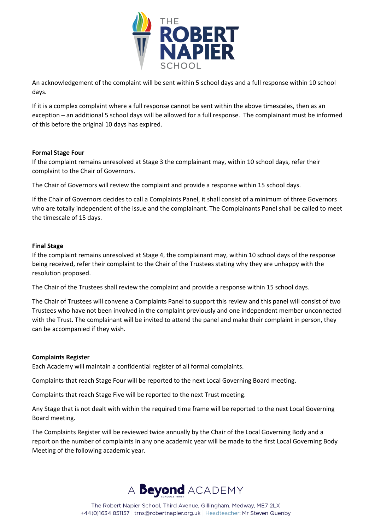

An acknowledgement of the complaint will be sent within 5 school days and a full response within 10 school days.

If it is a complex complaint where a full response cannot be sent within the above timescales, then as an exception – an additional 5 school days will be allowed for a full response. The complainant must be informed of this before the original 10 days has expired.

## **Formal Stage Four**

If the complaint remains unresolved at Stage 3 the complainant may, within 10 school days, refer their complaint to the Chair of Governors.

The Chair of Governors will review the complaint and provide a response within 15 school days.

If the Chair of Governors decides to call a Complaints Panel, it shall consist of a minimum of three Governors who are totally independent of the issue and the complainant. The Complainants Panel shall be called to meet the timescale of 15 days.

## **Final Stage**

If the complaint remains unresolved at Stage 4, the complainant may, within 10 school days of the response being received, refer their complaint to the Chair of the Trustees stating why they are unhappy with the resolution proposed.

The Chair of the Trustees shall review the complaint and provide a response within 15 school days.

The Chair of Trustees will convene a Complaints Panel to support this review and this panel will consist of two Trustees who have not been involved in the complaint previously and one independent member unconnected with the Trust. The complainant will be invited to attend the panel and make their complaint in person, they can be accompanied if they wish.

## **Complaints Register**

Each Academy will maintain a confidential register of all formal complaints.

Complaints that reach Stage Four will be reported to the next Local Governing Board meeting.

Complaints that reach Stage Five will be reported to the next Trust meeting.

Any Stage that is not dealt with within the required time frame will be reported to the next Local Governing Board meeting.

The Complaints Register will be reviewed twice annually by the Chair of the Local Governing Body and a report on the number of complaints in any one academic year will be made to the first Local Governing Body Meeting of the following academic year.

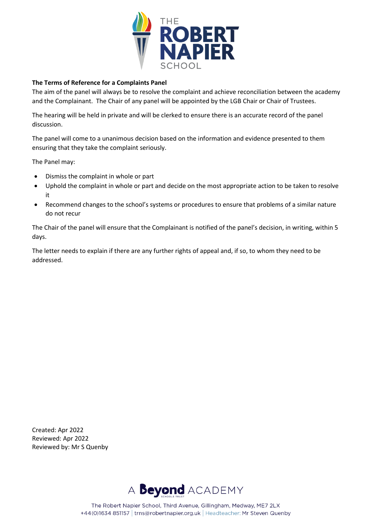

# **The Terms of Reference for a Complaints Panel**

The aim of the panel will always be to resolve the complaint and achieve reconciliation between the academy and the Complainant. The Chair of any panel will be appointed by the LGB Chair or Chair of Trustees.

The hearing will be held in private and will be clerked to ensure there is an accurate record of the panel discussion.

The panel will come to a unanimous decision based on the information and evidence presented to them ensuring that they take the complaint seriously.

The Panel may:

- Dismiss the complaint in whole or part
- Uphold the complaint in whole or part and decide on the most appropriate action to be taken to resolve it
- Recommend changes to the school's systems or procedures to ensure that problems of a similar nature do not recur

The Chair of the panel will ensure that the Complainant is notified of the panel's decision, in writing, within 5 days.

The letter needs to explain if there are any further rights of appeal and, if so, to whom they need to be addressed.

Created: Apr 2022 Reviewed: Apr 2022 Reviewed by: Mr S Quenby

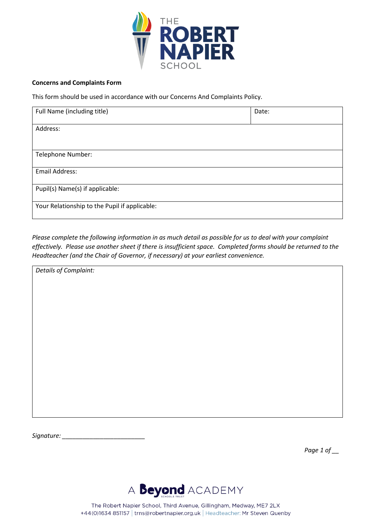

#### **Concerns and Complaints Form**

This form should be used in accordance with our Concerns And Complaints Policy.

| Full Name (including title)                   | Date: |
|-----------------------------------------------|-------|
|                                               |       |
| Address:                                      |       |
|                                               |       |
|                                               |       |
|                                               |       |
| Telephone Number:                             |       |
|                                               |       |
|                                               |       |
| <b>Email Address:</b>                         |       |
|                                               |       |
| Pupil(s) Name(s) if applicable:               |       |
|                                               |       |
|                                               |       |
| Your Relationship to the Pupil if applicable: |       |
|                                               |       |

*Please complete the following information in as much detail as possible for us to deal with your complaint effectively. Please use another sheet if there is insufficient space. Completed forms should be returned to the Headteacher (and the Chair of Governor, if necessary) at your earliest convenience.*

*Details of Complaint:*

*Signature: \_\_\_\_\_\_\_\_\_\_\_\_\_\_\_\_\_\_\_\_\_\_\_\_*

*Page 1 of \_\_*

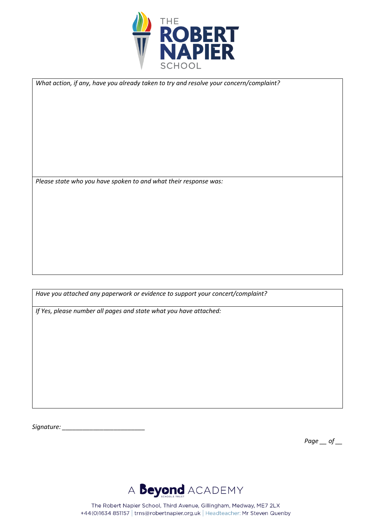

*What action, if any, have you already taken to try and resolve your concern/complaint?*

*Please state who you have spoken to and what their response was:*

*Have you attached any paperwork or evidence to support your concert/complaint?*

*If Yes, please number all pages and state what you have attached:*

*Signature: \_\_\_\_\_\_\_\_\_\_\_\_\_\_\_\_\_\_\_\_\_\_\_\_*

*Page \_\_ of \_\_*